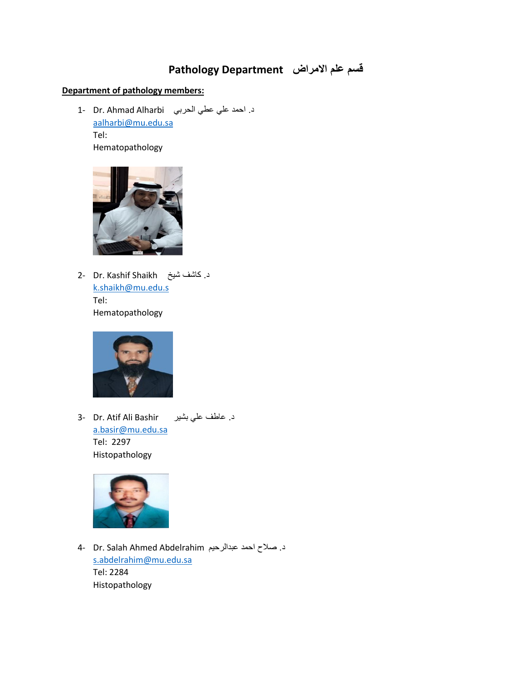## **قسم علم االمراض Department Pathology**

## **Department of pathology members:**

د. احمد علي عطي الحربي Dr. Ahmad Alharbi [aalharbi@mu.edu.sa](mailto:aalharbi@mu.edu.sa) Tel: Hematopathology



د. كاشف شيخ Dr. Kashif Shaikh . [k.shaikh@mu.edu.s](mailto:k.shaikh@mu.edu.s) Tel: Hematopathology



د. عاطف على بشير B- Dr. Atif Ali Bashir [a.basir@mu.edu.sa](mailto:a.basir@mu.edu.sa) Tel: 2297 Histopathology



د. صلاح احمد عبدالرحيم A- Dr. Salah Ahmed Abdelrahim [s.abdelrahim@mu.edu.sa](mailto:s.abdelrahim@mu.edu.sa) Tel: 2284 Histopathology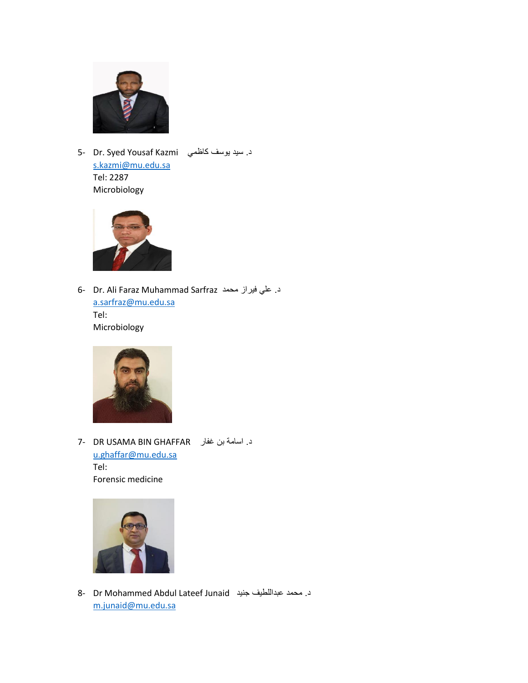

د. سيد يوسف كاظمي 5- Dr. Syed Yousaf Kazmi [s.kazmi@mu.edu.sa](mailto:s.kazmi@mu.edu.sa) Tel: 2287 Microbiology



6- Dr. Ali Faraz Muhammad Sarfraz محمد فيراز علي .د [a.sarfraz@mu.edu.sa](mailto:a.sarfraz@mu.edu.sa) Tel: Microbiology



د. اسامة بن غفار GHAFFAR BIN USAMA DR 7 [u.ghaffar@mu.edu.sa](mailto:u.ghaffar@mu.edu.sa) Tel: Forensic medicine



8- Dr Mohammed Abdul Lateef Junaid جنيد عبداللطيف محمد .د [m.junaid@mu.edu.sa](mailto:m.junaid@mu.edu.sa)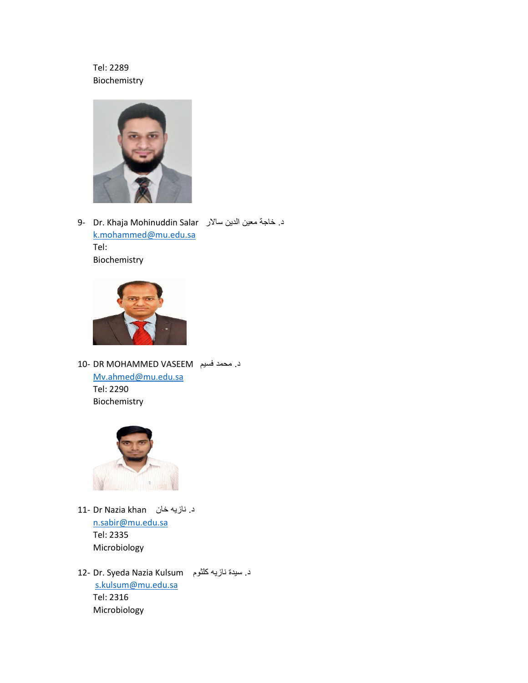## Tel: 2289 Biochemistry



د. خاجة معين الدين سالار 9- Dr. Khaja Mohinuddin Salar [k.mohammed@mu.edu.sa](mailto:k.mohammed@mu.edu.sa) Tel: Biochemistry



د. محمد فسيم VASEEM MOHAMMED DR 10- [Mv.ahmed@mu.edu.sa](mailto:Mv.ahmed@mu.edu.sa) Tel: 2290 Biochemistry



د. نازيه خان khan Nazia Dr 11 [n.sabir@mu.edu.sa](mailto:n.sabir@mu.edu.sa) Tel: 2335 Microbiology

د. سيدة نازيه كلثوم Dr. Syeda Nazia Kulsum [s.kulsum@mu.edu.sa](mailto:s.kulsum@mu.edu.sa)  Tel: 2316 Microbiology